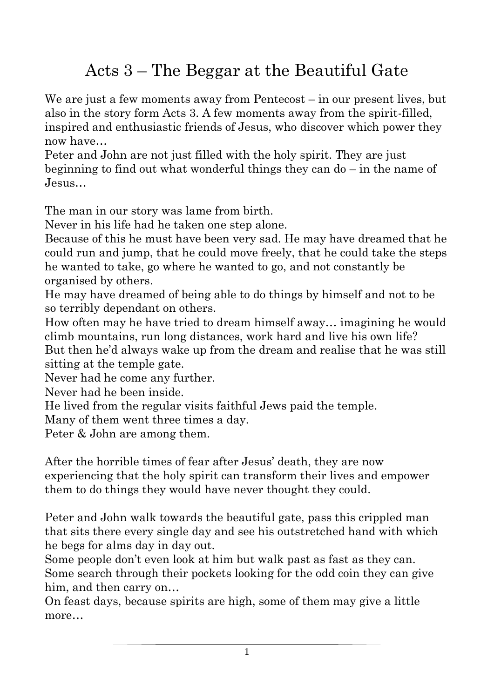## Acts 3 – The Beggar at the Beautiful Gate

We are just a few moments away from Pentecost – in our present lives, but also in the story form Acts 3. A few moments away from the spirit-filled, inspired and enthusiastic friends of Jesus, who discover which power they now have…

Peter and John are not just filled with the holy spirit. They are just beginning to find out what wonderful things they can do – in the name of Jesus…

The man in our story was lame from birth.

Never in his life had he taken one step alone.

Because of this he must have been very sad. He may have dreamed that he could run and jump, that he could move freely, that he could take the steps he wanted to take, go where he wanted to go, and not constantly be organised by others.

He may have dreamed of being able to do things by himself and not to be so terribly dependant on others.

How often may he have tried to dream himself away… imagining he would climb mountains, run long distances, work hard and live his own life? But then he'd always wake up from the dream and realise that he was still sitting at the temple gate.

Never had he come any further.

Never had he been inside.

He lived from the regular visits faithful Jews paid the temple.

Many of them went three times a day.

Peter & John are among them.

After the horrible times of fear after Jesus' death, they are now experiencing that the holy spirit can transform their lives and empower them to do things they would have never thought they could.

Peter and John walk towards the beautiful gate, pass this crippled man that sits there every single day and see his outstretched hand with which he begs for alms day in day out.

Some people don't even look at him but walk past as fast as they can. Some search through their pockets looking for the odd coin they can give him, and then carry on…

On feast days, because spirits are high, some of them may give a little more…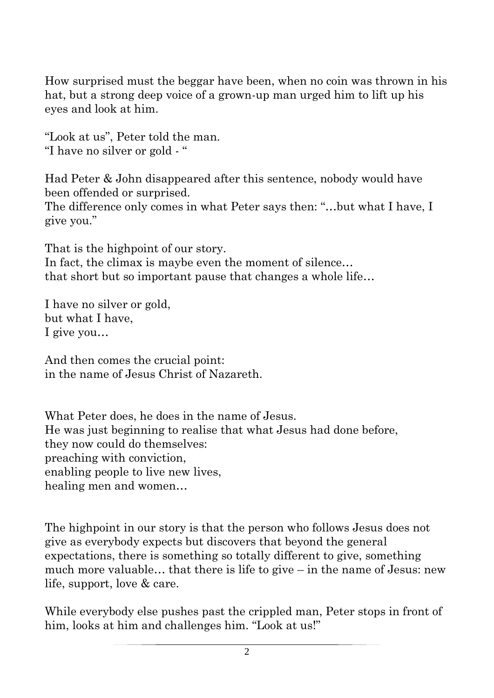How surprised must the beggar have been, when no coin was thrown in his hat, but a strong deep voice of a grown-up man urged him to lift up his eyes and look at him.

"Look at us", Peter told the man. "I have no silver or gold - "

Had Peter & John disappeared after this sentence, nobody would have been offended or surprised.

The difference only comes in what Peter says then: "…but what I have, I give you."

That is the highpoint of our story.

In fact, the climax is maybe even the moment of silence... that short but so important pause that changes a whole life…

I have no silver or gold, but what I have, I give you…

And then comes the crucial point: in the name of Jesus Christ of Nazareth.

What Peter does, he does in the name of Jesus. He was just beginning to realise that what Jesus had done before, they now could do themselves: preaching with conviction, enabling people to live new lives, healing men and women…

The highpoint in our story is that the person who follows Jesus does not give as everybody expects but discovers that beyond the general expectations, there is something so totally different to give, something much more valuable… that there is life to give – in the name of Jesus: new life, support, love & care.

While everybody else pushes past the crippled man, Peter stops in front of him, looks at him and challenges him. "Look at us!"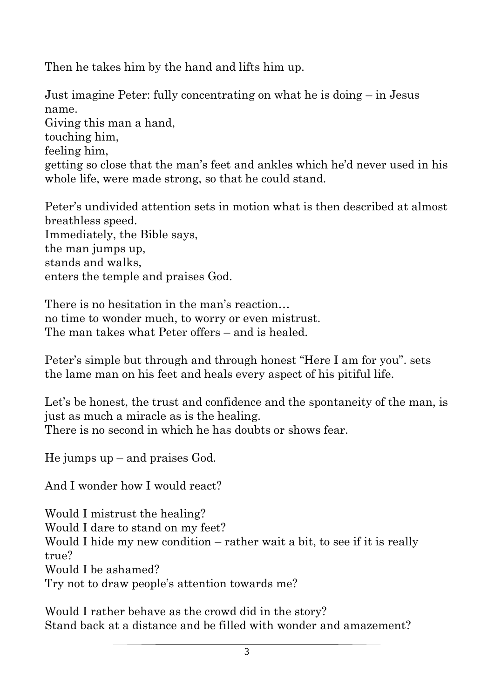Then he takes him by the hand and lifts him up.

Just imagine Peter: fully concentrating on what he is doing – in Jesus name. Giving this man a hand, touching him, feeling him, getting so close that the man's feet and ankles which he'd never used in his whole life, were made strong, so that he could stand.

Peter's undivided attention sets in motion what is then described at almost breathless speed. Immediately, the Bible says, the man jumps up, stands and walks, enters the temple and praises God.

There is no hesitation in the man's reaction… no time to wonder much, to worry or even mistrust. The man takes what Peter offers – and is healed.

Peter's simple but through and through honest "Here I am for you". sets the lame man on his feet and heals every aspect of his pitiful life.

Let's be honest, the trust and confidence and the spontaneity of the man, is just as much a miracle as is the healing. There is no second in which he has doubts or shows fear.

He jumps up – and praises God.

And I wonder how I would react?

Would I mistrust the healing? Would I dare to stand on my feet? Would I hide my new condition – rather wait a bit, to see if it is really true? Would I be ashamed? Try not to draw people's attention towards me?

Would I rather behave as the crowd did in the story? Stand back at a distance and be filled with wonder and amazement?